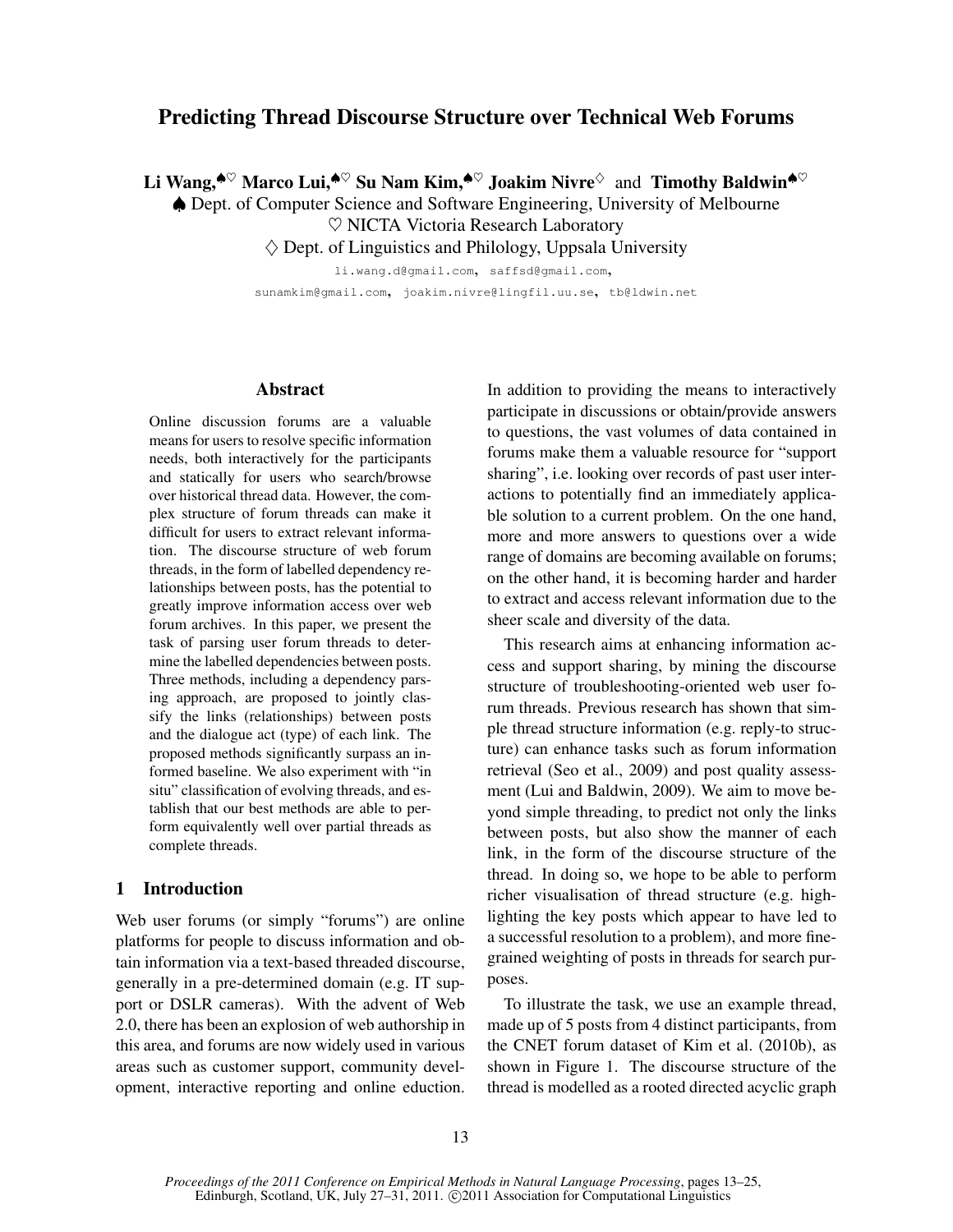# Predicting Thread Discourse Structure over Technical Web Forums

Li Wang,<sup> $\bullet^{\heartsuit}$ </sup> Marco Lui,<sup> $\bullet^{\heartsuit}$ </sup> Su Nam Kim, $\bullet^{\heartsuit}$  Joakim Nivre $^{\diamond}$  and Timothy Baldwin $\bullet^{\heartsuit}$ 

♠ Dept. of Computer Science and Software Engineering, University of Melbourne

♥ NICTA Victoria Research Laboratory

 $\diamondsuit$  Dept. of Linguistics and Philology, Uppsala University

li.wang.d@gmail.com, saffsd@gmail.com, sunamkim@gmail.com, joakim.nivre@lingfil.uu.se, tb@ldwin.net

#### Abstract

Online discussion forums are a valuable means for users to resolve specific information needs, both interactively for the participants and statically for users who search/browse over historical thread data. However, the complex structure of forum threads can make it difficult for users to extract relevant information. The discourse structure of web forum threads, in the form of labelled dependency relationships between posts, has the potential to greatly improve information access over web forum archives. In this paper, we present the task of parsing user forum threads to determine the labelled dependencies between posts. Three methods, including a dependency parsing approach, are proposed to jointly classify the links (relationships) between posts and the dialogue act (type) of each link. The proposed methods significantly surpass an informed baseline. We also experiment with "in situ" classification of evolving threads, and establish that our best methods are able to perform equivalently well over partial threads as complete threads.

## 1 Introduction

Web user forums (or simply "forums") are online platforms for people to discuss information and obtain information via a text-based threaded discourse, generally in a pre-determined domain (e.g. IT support or DSLR cameras). With the advent of Web 2.0, there has been an explosion of web authorship in this area, and forums are now widely used in various areas such as customer support, community development, interactive reporting and online eduction.

In addition to providing the means to interactively participate in discussions or obtain/provide answers to questions, the vast volumes of data contained in forums make them a valuable resource for "support sharing", i.e. looking over records of past user interactions to potentially find an immediately applicable solution to a current problem. On the one hand, more and more answers to questions over a wide range of domains are becoming available on forums; on the other hand, it is becoming harder and harder to extract and access relevant information due to the sheer scale and diversity of the data.

This research aims at enhancing information access and support sharing, by mining the discourse structure of troubleshooting-oriented web user forum threads. Previous research has shown that simple thread structure information (e.g. reply-to structure) can enhance tasks such as forum information retrieval (Seo et al., 2009) and post quality assessment (Lui and Baldwin, 2009). We aim to move beyond simple threading, to predict not only the links between posts, but also show the manner of each link, in the form of the discourse structure of the thread. In doing so, we hope to be able to perform richer visualisation of thread structure (e.g. highlighting the key posts which appear to have led to a successful resolution to a problem), and more finegrained weighting of posts in threads for search purposes.

To illustrate the task, we use an example thread, made up of 5 posts from 4 distinct participants, from the CNET forum dataset of Kim et al. (2010b), as shown in Figure 1. The discourse structure of the thread is modelled as a rooted directed acyclic graph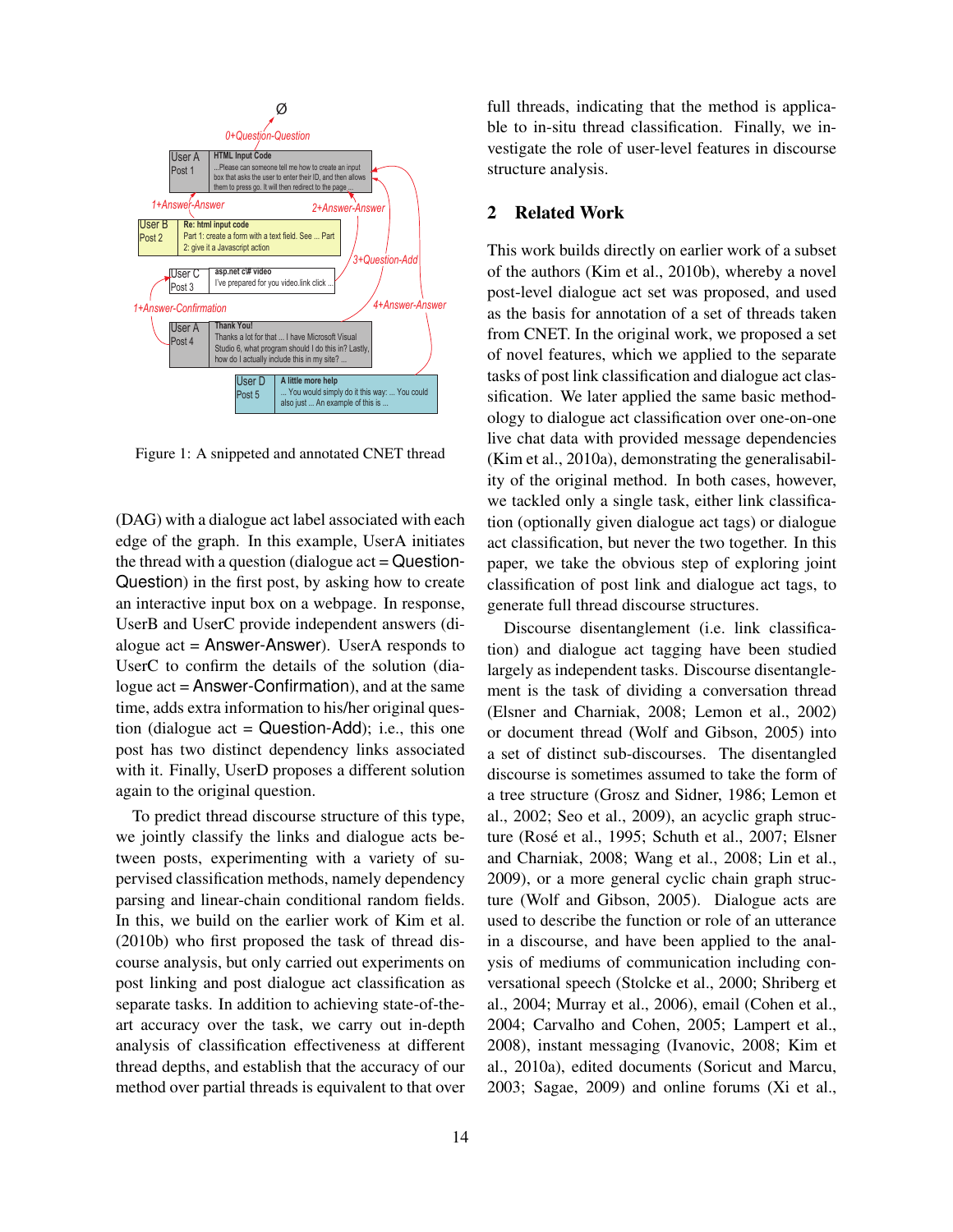

Figure 1: A snippeted and annotated CNET thread

(DAG) with a dialogue act label associated with each edge of the graph. In this example, UserA initiates the thread with a question (dialogue  $act = Question$ -Question) in the first post, by asking how to create an interactive input box on a webpage. In response, UserB and UserC provide independent answers (dialogue  $act =$  Answer-Answer). UserA responds to UserC to confirm the details of the solution (dialogue act = Answer-Confirmation), and at the same time, adds extra information to his/her original question (dialogue  $act = Question-Add$ ); i.e., this one post has two distinct dependency links associated with it. Finally, UserD proposes a different solution again to the original question.

To predict thread discourse structure of this type, we jointly classify the links and dialogue acts between posts, experimenting with a variety of supervised classification methods, namely dependency parsing and linear-chain conditional random fields. In this, we build on the earlier work of Kim et al. (2010b) who first proposed the task of thread discourse analysis, but only carried out experiments on post linking and post dialogue act classification as separate tasks. In addition to achieving state-of-theart accuracy over the task, we carry out in-depth analysis of classification effectiveness at different thread depths, and establish that the accuracy of our method over partial threads is equivalent to that over full threads, indicating that the method is applicable to in-situ thread classification. Finally, we investigate the role of user-level features in discourse structure analysis.

### 2 Related Work

This work builds directly on earlier work of a subset of the authors (Kim et al., 2010b), whereby a novel post-level dialogue act set was proposed, and used as the basis for annotation of a set of threads taken from CNET. In the original work, we proposed a set of novel features, which we applied to the separate tasks of post link classification and dialogue act classification. We later applied the same basic methodology to dialogue act classification over one-on-one live chat data with provided message dependencies (Kim et al., 2010a), demonstrating the generalisability of the original method. In both cases, however, we tackled only a single task, either link classification (optionally given dialogue act tags) or dialogue act classification, but never the two together. In this paper, we take the obvious step of exploring joint classification of post link and dialogue act tags, to generate full thread discourse structures.

Discourse disentanglement (i.e. link classification) and dialogue act tagging have been studied largely as independent tasks. Discourse disentanglement is the task of dividing a conversation thread (Elsner and Charniak, 2008; Lemon et al., 2002) or document thread (Wolf and Gibson, 2005) into a set of distinct sub-discourses. The disentangled discourse is sometimes assumed to take the form of a tree structure (Grosz and Sidner, 1986; Lemon et al., 2002; Seo et al., 2009), an acyclic graph structure (Rosé et al., 1995; Schuth et al., 2007; Elsner and Charniak, 2008; Wang et al., 2008; Lin et al., 2009), or a more general cyclic chain graph structure (Wolf and Gibson, 2005). Dialogue acts are used to describe the function or role of an utterance in a discourse, and have been applied to the analysis of mediums of communication including conversational speech (Stolcke et al., 2000; Shriberg et al., 2004; Murray et al., 2006), email (Cohen et al., 2004; Carvalho and Cohen, 2005; Lampert et al., 2008), instant messaging (Ivanovic, 2008; Kim et al., 2010a), edited documents (Soricut and Marcu, 2003; Sagae, 2009) and online forums (Xi et al.,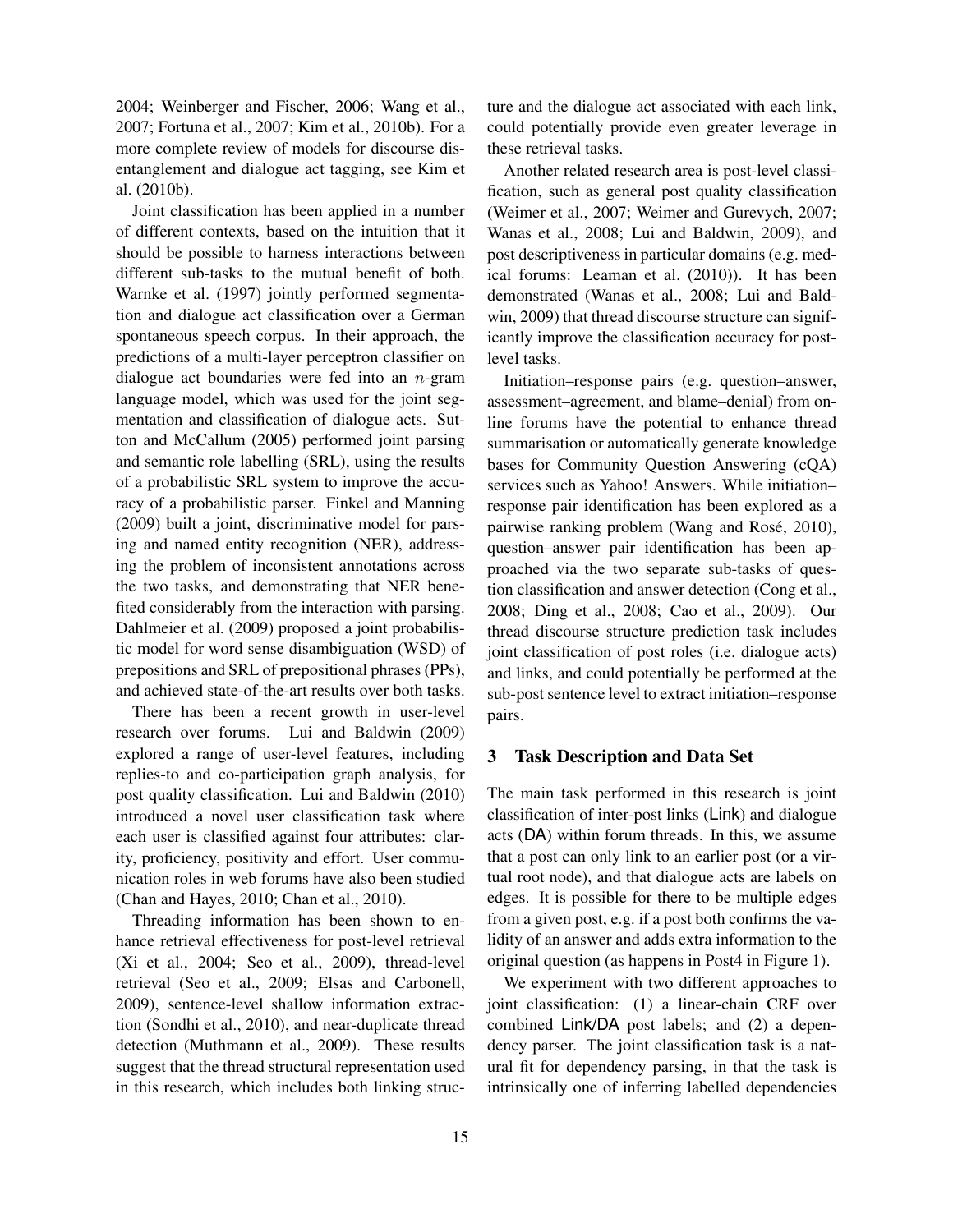2004; Weinberger and Fischer, 2006; Wang et al., 2007; Fortuna et al., 2007; Kim et al., 2010b). For a more complete review of models for discourse disentanglement and dialogue act tagging, see Kim et al. (2010b).

Joint classification has been applied in a number of different contexts, based on the intuition that it should be possible to harness interactions between different sub-tasks to the mutual benefit of both. Warnke et al. (1997) jointly performed segmentation and dialogue act classification over a German spontaneous speech corpus. In their approach, the predictions of a multi-layer perceptron classifier on dialogue act boundaries were fed into an  $n$ -gram language model, which was used for the joint segmentation and classification of dialogue acts. Sutton and McCallum (2005) performed joint parsing and semantic role labelling (SRL), using the results of a probabilistic SRL system to improve the accuracy of a probabilistic parser. Finkel and Manning (2009) built a joint, discriminative model for parsing and named entity recognition (NER), addressing the problem of inconsistent annotations across the two tasks, and demonstrating that NER benefited considerably from the interaction with parsing. Dahlmeier et al. (2009) proposed a joint probabilistic model for word sense disambiguation (WSD) of prepositions and SRL of prepositional phrases (PPs), and achieved state-of-the-art results over both tasks.

There has been a recent growth in user-level research over forums. Lui and Baldwin (2009) explored a range of user-level features, including replies-to and co-participation graph analysis, for post quality classification. Lui and Baldwin (2010) introduced a novel user classification task where each user is classified against four attributes: clarity, proficiency, positivity and effort. User communication roles in web forums have also been studied (Chan and Hayes, 2010; Chan et al., 2010).

Threading information has been shown to enhance retrieval effectiveness for post-level retrieval (Xi et al., 2004; Seo et al., 2009), thread-level retrieval (Seo et al., 2009; Elsas and Carbonell, 2009), sentence-level shallow information extraction (Sondhi et al., 2010), and near-duplicate thread detection (Muthmann et al., 2009). These results suggest that the thread structural representation used in this research, which includes both linking structure and the dialogue act associated with each link, could potentially provide even greater leverage in these retrieval tasks.

Another related research area is post-level classification, such as general post quality classification (Weimer et al., 2007; Weimer and Gurevych, 2007; Wanas et al., 2008; Lui and Baldwin, 2009), and post descriptiveness in particular domains (e.g. medical forums: Leaman et al. (2010)). It has been demonstrated (Wanas et al., 2008; Lui and Baldwin, 2009) that thread discourse structure can significantly improve the classification accuracy for postlevel tasks.

Initiation–response pairs (e.g. question–answer, assessment–agreement, and blame–denial) from online forums have the potential to enhance thread summarisation or automatically generate knowledge bases for Community Question Answering (cQA) services such as Yahoo! Answers. While initiation– response pair identification has been explored as a pairwise ranking problem (Wang and Rosé, 2010), question–answer pair identification has been approached via the two separate sub-tasks of question classification and answer detection (Cong et al., 2008; Ding et al., 2008; Cao et al., 2009). Our thread discourse structure prediction task includes joint classification of post roles (i.e. dialogue acts) and links, and could potentially be performed at the sub-post sentence level to extract initiation–response pairs.

### 3 Task Description and Data Set

The main task performed in this research is joint classification of inter-post links (Link) and dialogue acts (DA) within forum threads. In this, we assume that a post can only link to an earlier post (or a virtual root node), and that dialogue acts are labels on edges. It is possible for there to be multiple edges from a given post, e.g. if a post both confirms the validity of an answer and adds extra information to the original question (as happens in Post4 in Figure 1).

We experiment with two different approaches to joint classification: (1) a linear-chain CRF over combined Link/DA post labels; and (2) a dependency parser. The joint classification task is a natural fit for dependency parsing, in that the task is intrinsically one of inferring labelled dependencies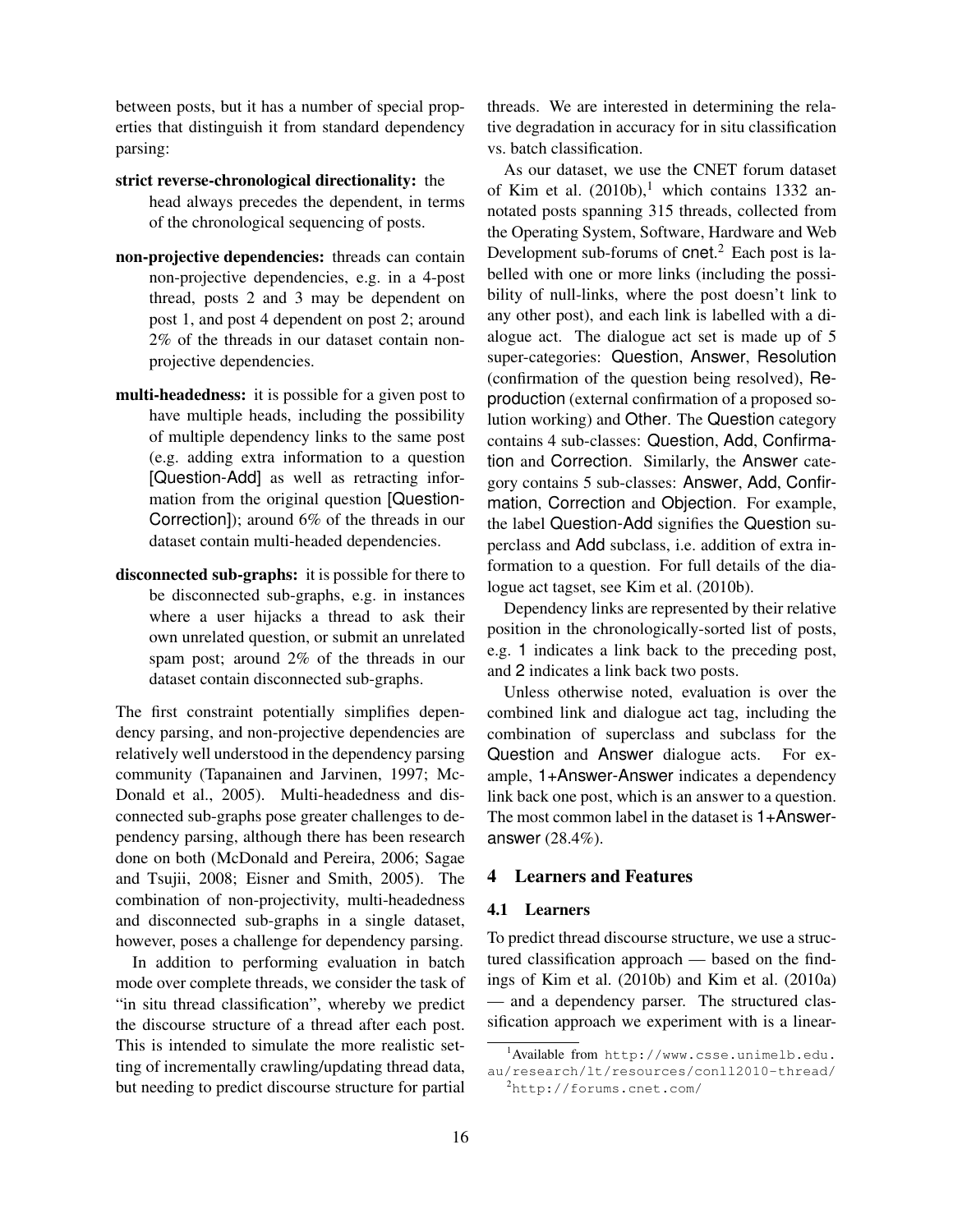between posts, but it has a number of special properties that distinguish it from standard dependency parsing:

- strict reverse-chronological directionality: the head always precedes the dependent, in terms of the chronological sequencing of posts.
- non-projective dependencies: threads can contain non-projective dependencies, e.g. in a 4-post thread, posts 2 and 3 may be dependent on post 1, and post 4 dependent on post 2; around 2% of the threads in our dataset contain nonprojective dependencies.
- multi-headedness: it is possible for a given post to have multiple heads, including the possibility of multiple dependency links to the same post (e.g. adding extra information to a question [Question-Add] as well as retracting information from the original question [Question-Correction]); around 6% of the threads in our dataset contain multi-headed dependencies.
- disconnected sub-graphs: it is possible for there to be disconnected sub-graphs, e.g. in instances where a user hijacks a thread to ask their own unrelated question, or submit an unrelated spam post; around 2% of the threads in our dataset contain disconnected sub-graphs.

The first constraint potentially simplifies dependency parsing, and non-projective dependencies are relatively well understood in the dependency parsing community (Tapanainen and Jarvinen, 1997; Mc-Donald et al., 2005). Multi-headedness and disconnected sub-graphs pose greater challenges to dependency parsing, although there has been research done on both (McDonald and Pereira, 2006; Sagae and Tsujii, 2008; Eisner and Smith, 2005). The combination of non-projectivity, multi-headedness and disconnected sub-graphs in a single dataset, however, poses a challenge for dependency parsing.

In addition to performing evaluation in batch mode over complete threads, we consider the task of "in situ thread classification", whereby we predict the discourse structure of a thread after each post. This is intended to simulate the more realistic setting of incrementally crawling/updating thread data, but needing to predict discourse structure for partial threads. We are interested in determining the relative degradation in accuracy for in situ classification vs. batch classification.

As our dataset, we use the CNET forum dataset of Kim et al.  $(2010b)$ ,<sup>1</sup> which contains 1332 annotated posts spanning 315 threads, collected from the Operating System, Software, Hardware and Web Development sub-forums of cnet.<sup>2</sup> Each post is labelled with one or more links (including the possibility of null-links, where the post doesn't link to any other post), and each link is labelled with a dialogue act. The dialogue act set is made up of 5 super-categories: Question, Answer, Resolution (confirmation of the question being resolved), Reproduction (external confirmation of a proposed solution working) and Other. The Question category contains 4 sub-classes: Question, Add, Confirmation and Correction. Similarly, the Answer category contains 5 sub-classes: Answer, Add, Confirmation, Correction and Objection. For example, the label Question-Add signifies the Question superclass and Add subclass, i.e. addition of extra information to a question. For full details of the dialogue act tagset, see Kim et al. (2010b).

Dependency links are represented by their relative position in the chronologically-sorted list of posts, e.g. 1 indicates a link back to the preceding post, and 2 indicates a link back two posts.

Unless otherwise noted, evaluation is over the combined link and dialogue act tag, including the combination of superclass and subclass for the Question and Answer dialogue acts. For example, 1+Answer-Answer indicates a dependency link back one post, which is an answer to a question. The most common label in the dataset is 1+Answeranswer (28.4%).

## 4 Learners and Features

#### 4.1 Learners

To predict thread discourse structure, we use a structured classification approach — based on the findings of Kim et al. (2010b) and Kim et al. (2010a) — and a dependency parser. The structured classification approach we experiment with is a linear-

<sup>1</sup>Available from http://www.csse.unimelb.edu. au/research/lt/resources/conll2010-thread/

 $^{2}$ http://forums.cnet.com/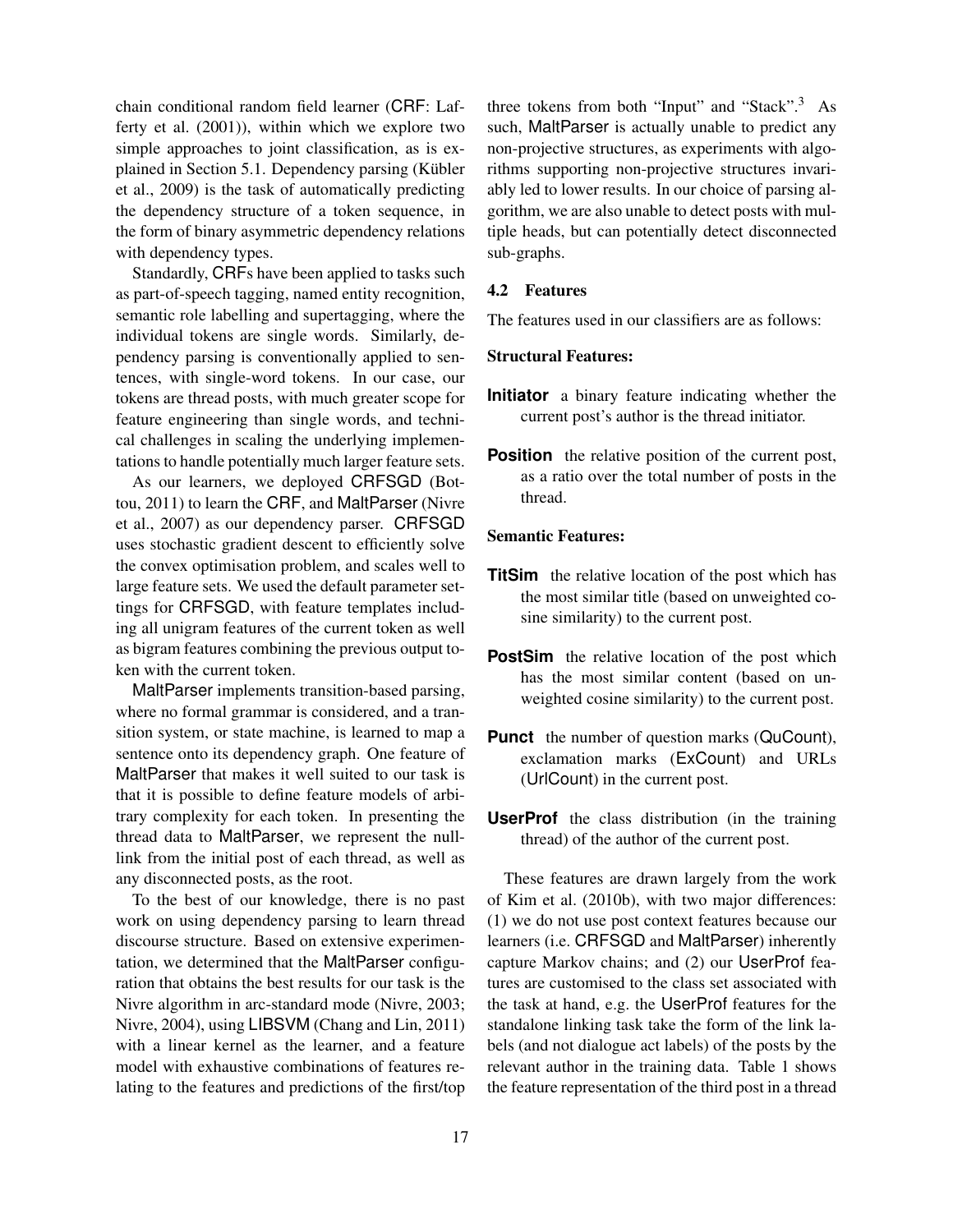chain conditional random field learner (CRF: Lafferty et al. (2001)), within which we explore two simple approaches to joint classification, as is explained in Section 5.1. Dependency parsing (Kübler et al., 2009) is the task of automatically predicting the dependency structure of a token sequence, in the form of binary asymmetric dependency relations with dependency types.

Standardly, CRFs have been applied to tasks such as part-of-speech tagging, named entity recognition, semantic role labelling and supertagging, where the individual tokens are single words. Similarly, dependency parsing is conventionally applied to sentences, with single-word tokens. In our case, our tokens are thread posts, with much greater scope for feature engineering than single words, and technical challenges in scaling the underlying implementations to handle potentially much larger feature sets.

As our learners, we deployed CRFSGD (Bottou, 2011) to learn the CRF, and MaltParser (Nivre et al., 2007) as our dependency parser. CRFSGD uses stochastic gradient descent to efficiently solve the convex optimisation problem, and scales well to large feature sets. We used the default parameter settings for CRFSGD, with feature templates including all unigram features of the current token as well as bigram features combining the previous output token with the current token.

MaltParser implements transition-based parsing, where no formal grammar is considered, and a transition system, or state machine, is learned to map a sentence onto its dependency graph. One feature of MaltParser that makes it well suited to our task is that it is possible to define feature models of arbitrary complexity for each token. In presenting the thread data to MaltParser, we represent the nulllink from the initial post of each thread, as well as any disconnected posts, as the root.

To the best of our knowledge, there is no past work on using dependency parsing to learn thread discourse structure. Based on extensive experimentation, we determined that the MaltParser configuration that obtains the best results for our task is the Nivre algorithm in arc-standard mode (Nivre, 2003; Nivre, 2004), using LIBSVM (Chang and Lin, 2011) with a linear kernel as the learner, and a feature model with exhaustive combinations of features relating to the features and predictions of the first/top

three tokens from both "Input" and "Stack".<sup>3</sup> As such, MaltParser is actually unable to predict any non-projective structures, as experiments with algorithms supporting non-projective structures invariably led to lower results. In our choice of parsing algorithm, we are also unable to detect posts with multiple heads, but can potentially detect disconnected sub-graphs.

### 4.2 Features

The features used in our classifiers are as follows:

#### Structural Features:

- **Initiator** a binary feature indicating whether the current post's author is the thread initiator.
- **Position** the relative position of the current post, as a ratio over the total number of posts in the thread.

### Semantic Features:

- **TitSim** the relative location of the post which has the most similar title (based on unweighted cosine similarity) to the current post.
- **PostSim** the relative location of the post which has the most similar content (based on unweighted cosine similarity) to the current post.
- **Punct** the number of question marks (QuCount), exclamation marks (ExCount) and URLs (UrlCount) in the current post.
- **UserProf** the class distribution (in the training thread) of the author of the current post.

These features are drawn largely from the work of Kim et al. (2010b), with two major differences: (1) we do not use post context features because our learners (i.e. CRFSGD and MaltParser) inherently capture Markov chains; and (2) our UserProf features are customised to the class set associated with the task at hand, e.g. the UserProf features for the standalone linking task take the form of the link labels (and not dialogue act labels) of the posts by the relevant author in the training data. Table 1 shows the feature representation of the third post in a thread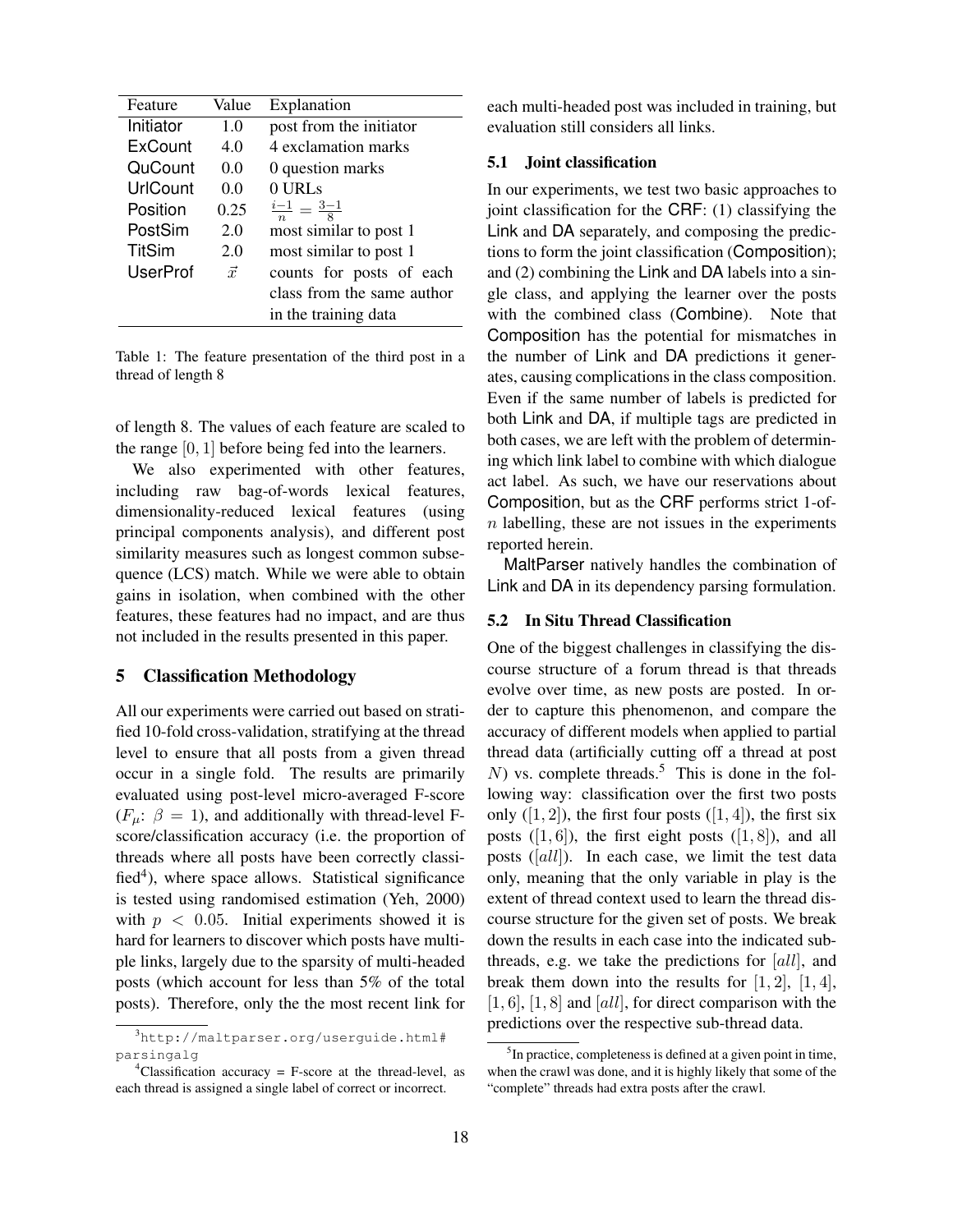| Feature         | Value     | Explanation                     |  |  |
|-----------------|-----------|---------------------------------|--|--|
| Initiator       | 1.0       | post from the initiator         |  |  |
| ExCount         | 4.0       | 4 exclamation marks             |  |  |
| QuCount         | 0.0       | 0 question marks                |  |  |
| UrlCount        | 0.0       | 0 URLs                          |  |  |
| Position        | 0.25      | $\frac{i-1}{n} = \frac{3-1}{8}$ |  |  |
| PostSim         | 2.0       | most similar to post 1          |  |  |
| <b>TitSim</b>   | 2.0       | most similar to post 1          |  |  |
| <b>UserProf</b> | $\vec{x}$ | counts for posts of each        |  |  |
|                 |           | class from the same author      |  |  |
|                 |           | in the training data            |  |  |

Table 1: The feature presentation of the third post in a thread of length 8

of length 8. The values of each feature are scaled to the range  $[0, 1]$  before being fed into the learners.

We also experimented with other features, including raw bag-of-words lexical features, dimensionality-reduced lexical features (using principal components analysis), and different post similarity measures such as longest common subsequence (LCS) match. While we were able to obtain gains in isolation, when combined with the other features, these features had no impact, and are thus not included in the results presented in this paper.

## 5 Classification Methodology

All our experiments were carried out based on stratified 10-fold cross-validation, stratifying at the thread level to ensure that all posts from a given thread occur in a single fold. The results are primarily evaluated using post-level micro-averaged F-score  $(F_u: \beta = 1)$ , and additionally with thread-level Fscore/classification accuracy (i.e. the proportion of threads where all posts have been correctly classi $fied<sup>4</sup>$ ), where space allows. Statistical significance is tested using randomised estimation (Yeh, 2000) with  $p < 0.05$ . Initial experiments showed it is hard for learners to discover which posts have multiple links, largely due to the sparsity of multi-headed posts (which account for less than 5% of the total posts). Therefore, only the the most recent link for

each multi-headed post was included in training, but evaluation still considers all links.

### 5.1 Joint classification

In our experiments, we test two basic approaches to joint classification for the CRF: (1) classifying the Link and DA separately, and composing the predictions to form the joint classification (Composition); and (2) combining the Link and DA labels into a single class, and applying the learner over the posts with the combined class (Combine). Note that Composition has the potential for mismatches in the number of Link and DA predictions it generates, causing complications in the class composition. Even if the same number of labels is predicted for both Link and DA, if multiple tags are predicted in both cases, we are left with the problem of determining which link label to combine with which dialogue act label. As such, we have our reservations about Composition, but as the CRF performs strict 1-of $n$  labelling, these are not issues in the experiments reported herein.

MaltParser natively handles the combination of Link and DA in its dependency parsing formulation.

### 5.2 In Situ Thread Classification

One of the biggest challenges in classifying the discourse structure of a forum thread is that threads evolve over time, as new posts are posted. In order to capture this phenomenon, and compare the accuracy of different models when applied to partial thread data (artificially cutting off a thread at post  $N$ ) vs. complete threads.<sup>5</sup> This is done in the following way: classification over the first two posts only  $([1, 2])$ , the first four posts  $([1, 4])$ , the first six posts  $([1, 6])$ , the first eight posts  $([1, 8])$ , and all posts ([all]). In each case, we limit the test data only, meaning that the only variable in play is the extent of thread context used to learn the thread discourse structure for the given set of posts. We break down the results in each case into the indicated subthreads, e.g. we take the predictions for  $\lbrack all \rbrack$ , and break them down into the results for  $[1, 2]$ ,  $[1, 4]$ ,  $[1, 6]$ ,  $[1, 8]$  and  $[all]$ , for direct comparison with the predictions over the respective sub-thread data.

<sup>3</sup>http://maltparser.org/userguide.html# parsingalg

<sup>&</sup>lt;sup>4</sup>Classification accuracy = F-score at the thread-level, as each thread is assigned a single label of correct or incorrect.

<sup>&</sup>lt;sup>5</sup>In practice, completeness is defined at a given point in time, when the crawl was done, and it is highly likely that some of the "complete" threads had extra posts after the crawl.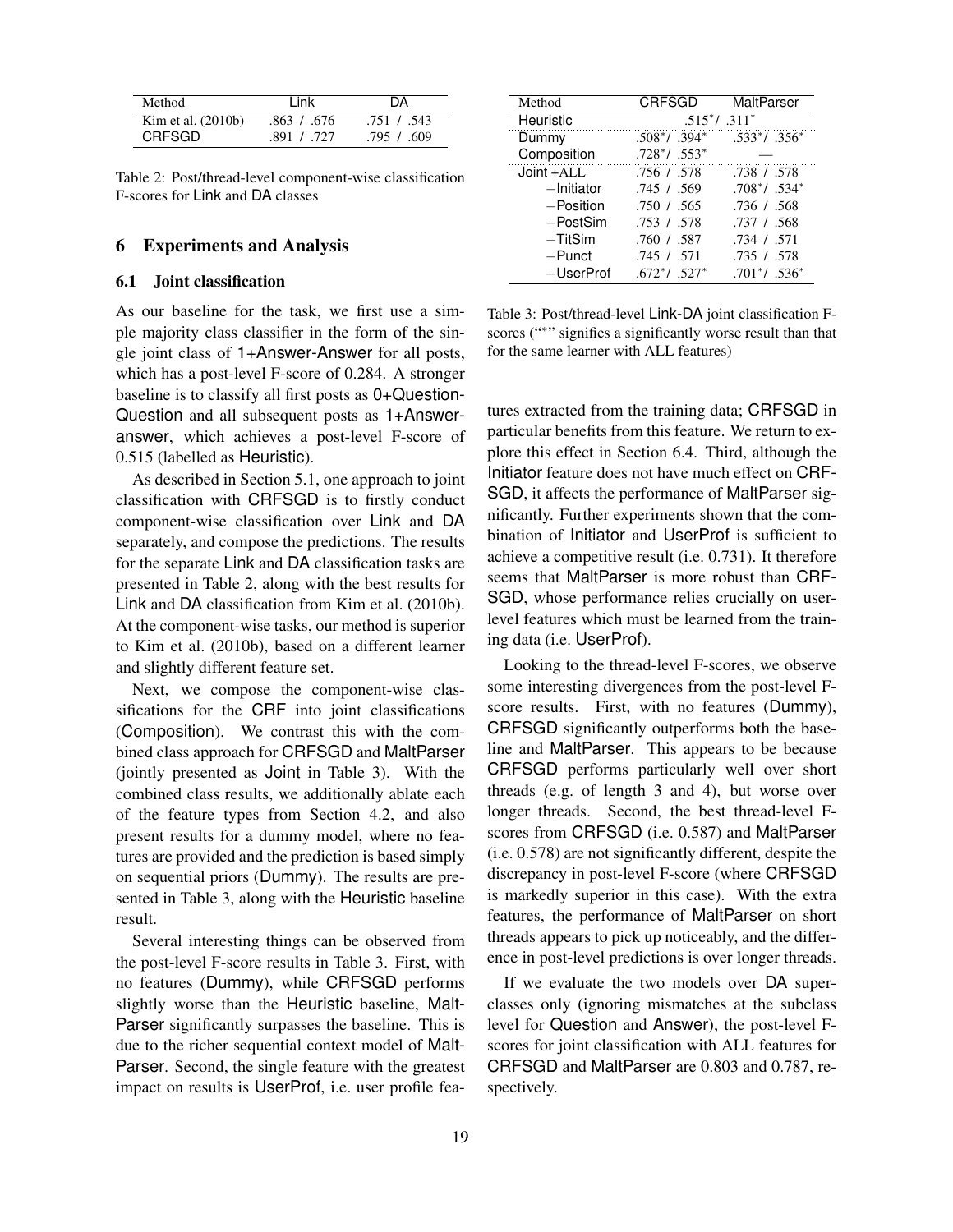| Method               | I ink       | DА          |  |
|----------------------|-------------|-------------|--|
| Kim et al. $(2010b)$ | .863 / .676 | .751 / .543 |  |
| <b>CRFSGD</b>        | .891 / .727 | .795 / .609 |  |

Table 2: Post/thread-level component-wise classification F-scores for Link and DA classes

#### 6 Experiments and Analysis

### 6.1 Joint classification

As our baseline for the task, we first use a simple majority class classifier in the form of the single joint class of 1+Answer-Answer for all posts, which has a post-level F-score of 0.284. A stronger baseline is to classify all first posts as 0+Question-Question and all subsequent posts as 1+Answeranswer, which achieves a post-level F-score of 0.515 (labelled as Heuristic).

As described in Section 5.1, one approach to joint classification with CRFSGD is to firstly conduct component-wise classification over Link and DA separately, and compose the predictions. The results for the separate Link and DA classification tasks are presented in Table 2, along with the best results for Link and DA classification from Kim et al. (2010b). At the component-wise tasks, our method is superior to Kim et al. (2010b), based on a different learner and slightly different feature set.

Next, we compose the component-wise classifications for the CRF into joint classifications (Composition). We contrast this with the combined class approach for CRFSGD and MaltParser (jointly presented as Joint in Table 3). With the combined class results, we additionally ablate each of the feature types from Section 4.2, and also present results for a dummy model, where no features are provided and the prediction is based simply on sequential priors (Dummy). The results are presented in Table 3, along with the Heuristic baseline result.

Several interesting things can be observed from the post-level F-score results in Table 3. First, with no features (Dummy), while CRFSGD performs slightly worse than the Heuristic baseline, Malt-Parser significantly surpasses the baseline. This is due to the richer sequential context model of Malt-Parser. Second, the single feature with the greatest impact on results is UserProf, i.e. user profile fea-

| Method      | <b>CRFSGD</b>                | MaltParser       |  |  |
|-------------|------------------------------|------------------|--|--|
| Heuristic   | $.515*/.311*$                |                  |  |  |
| Dummy       | $.508*/.394*$                | $.533*/.356*$    |  |  |
| Composition | $.728^*$ / .553 <sup>*</sup> |                  |  |  |
| Joint +ALL  | .756 / .578                  | .738 / .578      |  |  |
| -Initiator  | .745/0.569                   | $.708^*/ .534^*$ |  |  |
| -Position   | .750 / .565                  | .736 / .568      |  |  |
| $-PostSim$  | .753 / .578                  | .737 / .568      |  |  |
| $-TitSim$   | .760 / .587                  | .734 / .571      |  |  |
| -Punct      | .745 / .571                  | .735 / .578      |  |  |
| -UserProf   | $.672^*/.527^*$              | $.701^*/.536^*$  |  |  |

Table 3: Post/thread-level Link-DA joint classification Fscores ("\*" signifies a significantly worse result than that for the same learner with ALL features)

tures extracted from the training data; CRFSGD in particular benefits from this feature. We return to explore this effect in Section 6.4. Third, although the Initiator feature does not have much effect on CRF-SGD, it affects the performance of MaltParser significantly. Further experiments shown that the combination of Initiator and UserProf is sufficient to achieve a competitive result (i.e. 0.731). It therefore seems that MaltParser is more robust than CRF-SGD, whose performance relies crucially on userlevel features which must be learned from the training data (i.e. UserProf).

Looking to the thread-level F-scores, we observe some interesting divergences from the post-level Fscore results. First, with no features (Dummy), CRFSGD significantly outperforms both the baseline and MaltParser. This appears to be because CRFSGD performs particularly well over short threads (e.g. of length 3 and 4), but worse over longer threads. Second, the best thread-level Fscores from CRFSGD (i.e. 0.587) and MaltParser (i.e. 0.578) are not significantly different, despite the discrepancy in post-level F-score (where CRFSGD is markedly superior in this case). With the extra features, the performance of MaltParser on short threads appears to pick up noticeably, and the difference in post-level predictions is over longer threads.

If we evaluate the two models over DA superclasses only (ignoring mismatches at the subclass level for Question and Answer), the post-level Fscores for joint classification with ALL features for CRFSGD and MaltParser are 0.803 and 0.787, respectively.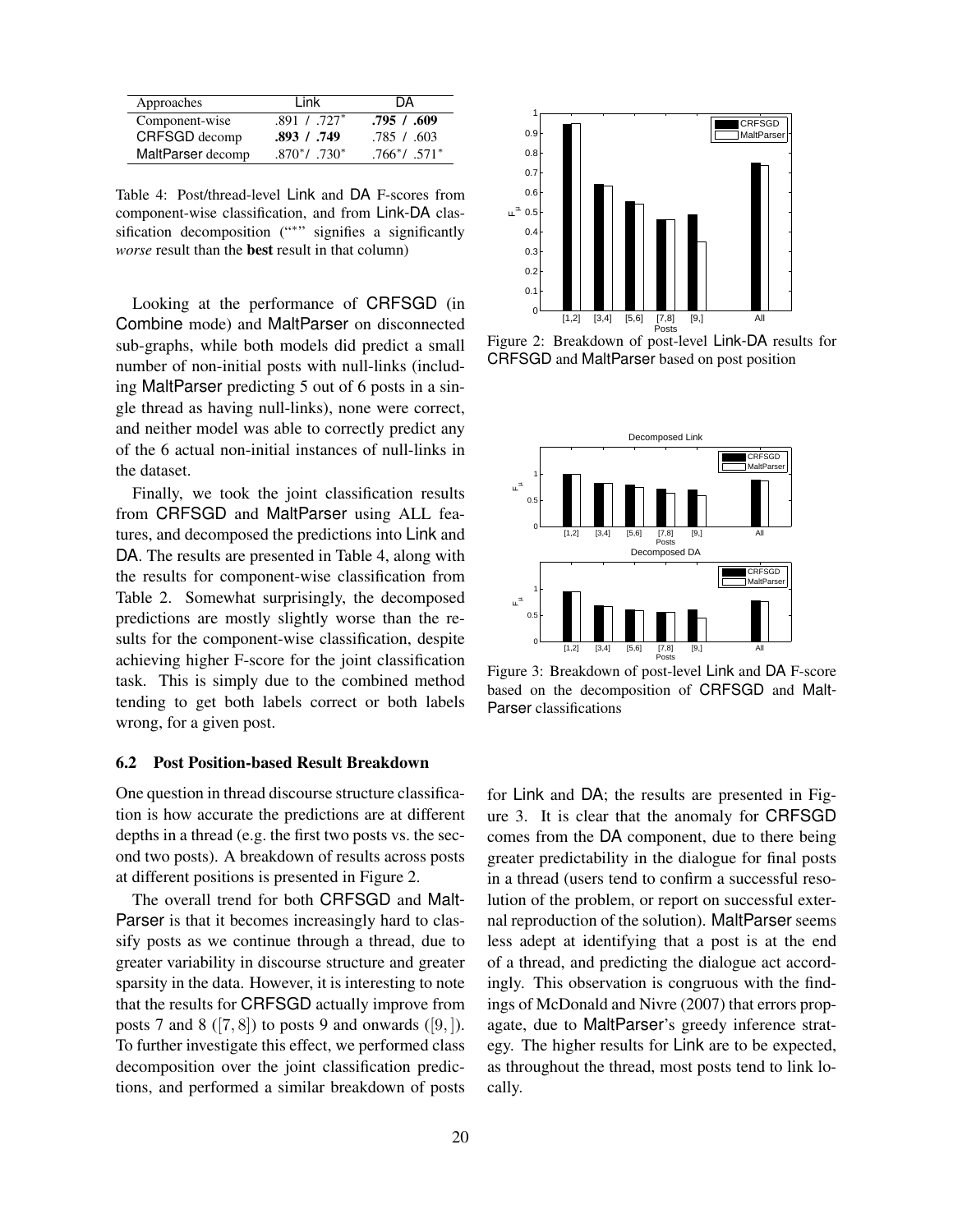| Approaches        | I ink            | DА            |
|-------------------|------------------|---------------|
| Component-wise    | $.891$ / $.727*$ | .795/0.609    |
| CRFSGD decomp     | .893 / .749      | .785 / .603   |
| MaltParser decomp | $.870^*/-730^*$  | $.766*/.571*$ |

Table 4: Post/thread-level Link and DA F-scores from component-wise classification, and from Link-DA classification decomposition ("\*" signifies a significantly *worse* result than the best result in that column)

Looking at the performance of CRFSGD (in Combine mode) and MaltParser on disconnected sub-graphs, while both models did predict a small number of non-initial posts with null-links (including MaltParser predicting 5 out of 6 posts in a single thread as having null-links), none were correct, and neither model was able to correctly predict any of the 6 actual non-initial instances of null-links in the dataset.

Finally, we took the joint classification results from CRFSGD and MaltParser using ALL features, and decomposed the predictions into Link and DA. The results are presented in Table 4, along with the results for component-wise classification from Table 2. Somewhat surprisingly, the decomposed predictions are mostly slightly worse than the results for the component-wise classification, despite achieving higher F-score for the joint classification task. This is simply due to the combined method tending to get both labels correct or both labels wrong, for a given post.

#### 6.2 Post Position-based Result Breakdown

One question in thread discourse structure classification is how accurate the predictions are at different depths in a thread (e.g. the first two posts vs. the second two posts). A breakdown of results across posts at different positions is presented in Figure 2.

The overall trend for both CRFSGD and Malt-Parser is that it becomes increasingly hard to classify posts as we continue through a thread, due to greater variability in discourse structure and greater sparsity in the data. However, it is interesting to note that the results for CRFSGD actually improve from posts 7 and 8 ([7, 8]) to posts 9 and onwards ([9, ]). To further investigate this effect, we performed class decomposition over the joint classification predictions, and performed a similar breakdown of posts



Figure 2: Breakdown of post-level Link-DA results for CRFSGD and MaltParser based on post position



Figure 3: Breakdown of post-level Link and DA F-score based on the decomposition of CRFSGD and Malt-Parser classifications

for Link and DA; the results are presented in Figure 3. It is clear that the anomaly for CRFSGD comes from the DA component, due to there being greater predictability in the dialogue for final posts in a thread (users tend to confirm a successful resolution of the problem, or report on successful external reproduction of the solution). MaltParser seems less adept at identifying that a post is at the end of a thread, and predicting the dialogue act accordingly. This observation is congruous with the findings of McDonald and Nivre (2007) that errors propagate, due to MaltParser's greedy inference strategy. The higher results for Link are to be expected, as throughout the thread, most posts tend to link locally.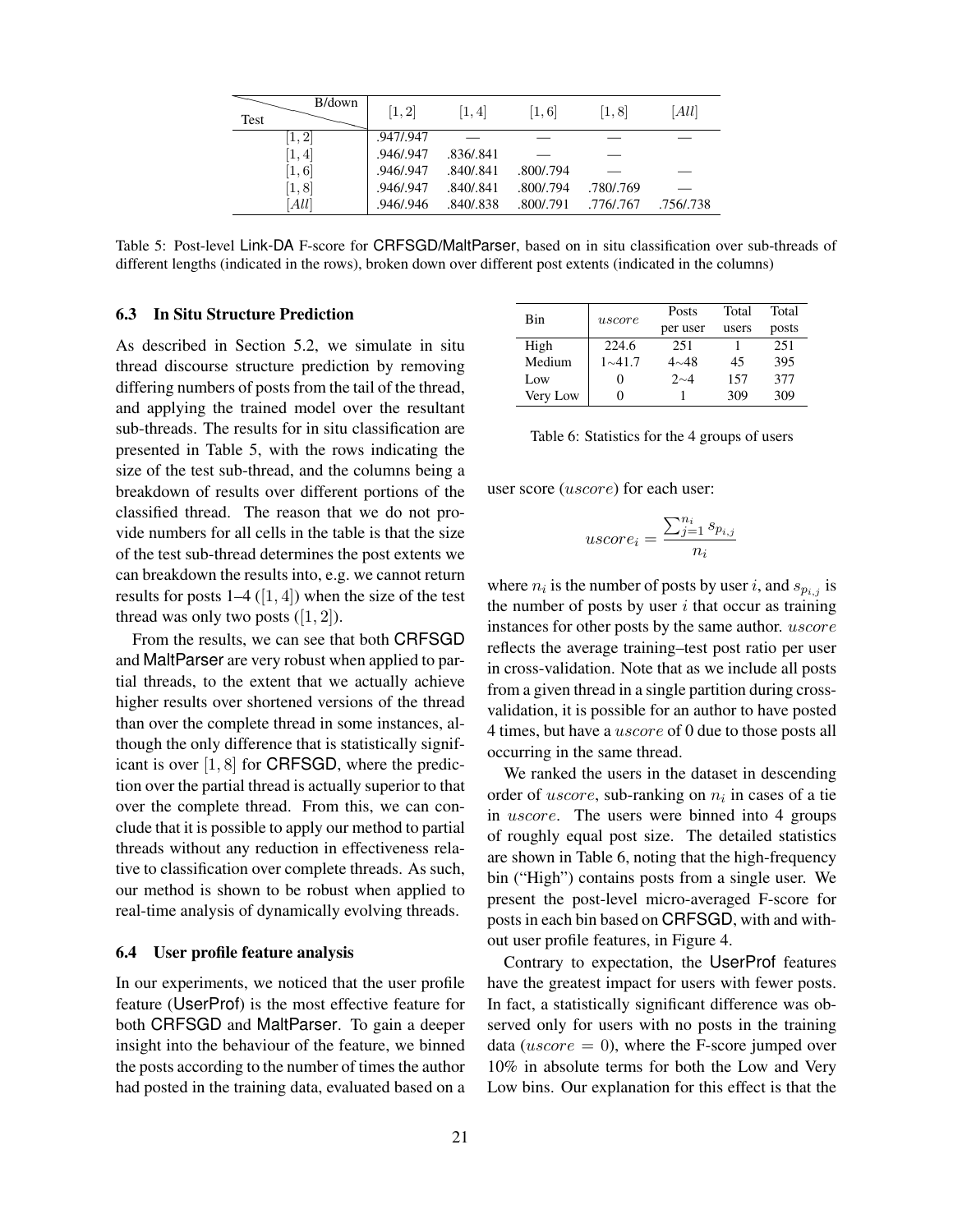| B/down<br>Test | [1, 2]    | [1, 4]    | [1,6]     | [1, 8]    | [All]     |
|----------------|-----------|-----------|-----------|-----------|-----------|
| [1, 2]         | .947/.947 |           |           |           |           |
| [1,4]          | .946/.947 | .836/.841 |           |           |           |
| [1,6]          | .946/.947 | .840/.841 | .800/.794 |           |           |
| [1, 8]         | .946/.947 | .840/.841 | .800/.794 | .780/.769 |           |
| [All]          | .946/.946 | .840/.838 | .800/.791 | .776/.767 | .756/.738 |

Table 5: Post-level Link-DA F-score for CRFSGD/MaltParser, based on in situ classification over sub-threads of different lengths (indicated in the rows), broken down over different post extents (indicated in the columns)

### 6.3 In Situ Structure Prediction

As described in Section 5.2, we simulate in situ thread discourse structure prediction by removing differing numbers of posts from the tail of the thread, and applying the trained model over the resultant sub-threads. The results for in situ classification are presented in Table 5, with the rows indicating the size of the test sub-thread, and the columns being a breakdown of results over different portions of the classified thread. The reason that we do not provide numbers for all cells in the table is that the size of the test sub-thread determines the post extents we can breakdown the results into, e.g. we cannot return results for posts  $1-4$  ([1, 4]) when the size of the test thread was only two posts  $([1, 2])$ .

From the results, we can see that both CRFSGD and MaltParser are very robust when applied to partial threads, to the extent that we actually achieve higher results over shortened versions of the thread than over the complete thread in some instances, although the only difference that is statistically significant is over [1, 8] for CRFSGD, where the prediction over the partial thread is actually superior to that over the complete thread. From this, we can conclude that it is possible to apply our method to partial threads without any reduction in effectiveness relative to classification over complete threads. As such, our method is shown to be robust when applied to real-time analysis of dynamically evolving threads.

#### 6.4 User profile feature analysis

In our experiments, we noticed that the user profile feature (UserProf) is the most effective feature for both CRFSGD and MaltParser. To gain a deeper insight into the behaviour of the feature, we binned the posts according to the number of times the author had posted in the training data, evaluated based on a

| Bin      | uscore            | Posts       | Total | Total |
|----------|-------------------|-------------|-------|-------|
|          |                   | per user    | users | posts |
| High     | 224.6             | 251         |       | 251   |
| Medium   | $1 \sim 41.7$     | $4 \sim 48$ | 45    | 395   |
| Low      | $\mathbf{\Omega}$ | $2^{\sim}4$ | 157   | 377   |
| Very Low | 0                 |             | 309   | 309   |

|  | Table 6: Statistics for the 4 groups of users |  |  |  |  |
|--|-----------------------------------------------|--|--|--|--|
|--|-----------------------------------------------|--|--|--|--|

user score (*uscore*) for each user:

$$
uscore_i = \frac{\sum_{j=1}^{n_i} s_{p_{i,j}}}{n_i}
$$

where  $n_i$  is the number of posts by user *i*, and  $s_{p_{i,j}}$  is the number of posts by user  $i$  that occur as training instances for other posts by the same author. uscore reflects the average training–test post ratio per user in cross-validation. Note that as we include all posts from a given thread in a single partition during crossvalidation, it is possible for an author to have posted 4 times, but have a uscore of 0 due to those posts all occurring in the same thread.

We ranked the users in the dataset in descending order of  $uscore$ , sub-ranking on  $n_i$  in cases of a tie in uscore. The users were binned into 4 groups of roughly equal post size. The detailed statistics are shown in Table 6, noting that the high-frequency bin ("High") contains posts from a single user. We present the post-level micro-averaged F-score for posts in each bin based on CRFSGD, with and without user profile features, in Figure 4.

Contrary to expectation, the UserProf features have the greatest impact for users with fewer posts. In fact, a statistically significant difference was observed only for users with no posts in the training data (*uscore*  $= 0$ ), where the F-score jumped over 10% in absolute terms for both the Low and Very Low bins. Our explanation for this effect is that the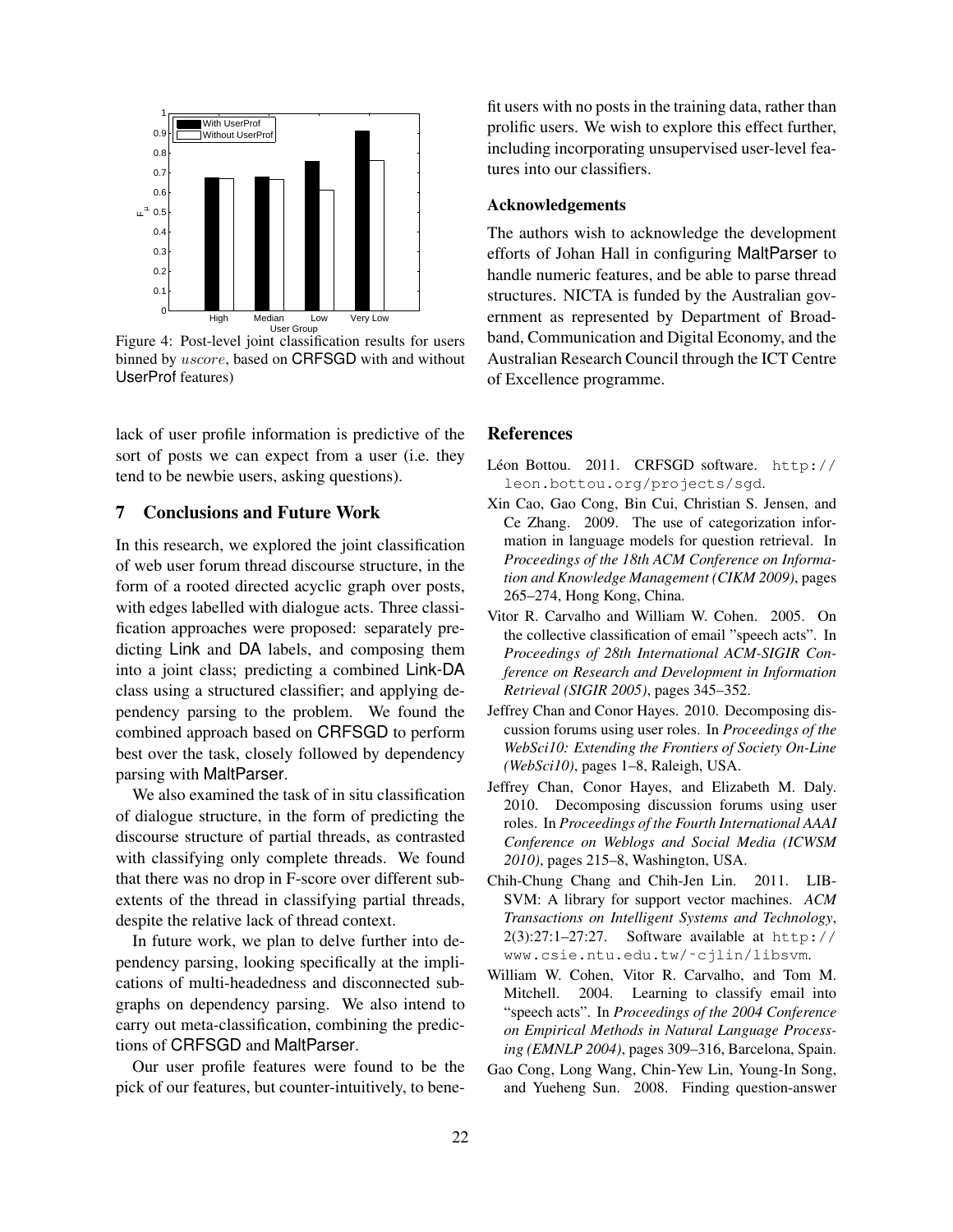

Figure 4: Post-level joint classification results for users binned by *uscore*, based on CRFSGD with and without UserProf features)

lack of user profile information is predictive of the sort of posts we can expect from a user (i.e. they tend to be newbie users, asking questions).

## 7 Conclusions and Future Work

In this research, we explored the joint classification of web user forum thread discourse structure, in the form of a rooted directed acyclic graph over posts, with edges labelled with dialogue acts. Three classification approaches were proposed: separately predicting Link and DA labels, and composing them into a joint class; predicting a combined Link-DA class using a structured classifier; and applying dependency parsing to the problem. We found the combined approach based on CRFSGD to perform best over the task, closely followed by dependency parsing with MaltParser.

We also examined the task of in situ classification of dialogue structure, in the form of predicting the discourse structure of partial threads, as contrasted with classifying only complete threads. We found that there was no drop in F-score over different subextents of the thread in classifying partial threads, despite the relative lack of thread context.

In future work, we plan to delve further into dependency parsing, looking specifically at the implications of multi-headedness and disconnected subgraphs on dependency parsing. We also intend to carry out meta-classification, combining the predictions of CRFSGD and MaltParser.

Our user profile features were found to be the pick of our features, but counter-intuitively, to benefit users with no posts in the training data, rather than prolific users. We wish to explore this effect further, including incorporating unsupervised user-level features into our classifiers.

### Acknowledgements

The authors wish to acknowledge the development efforts of Johan Hall in configuring MaltParser to handle numeric features, and be able to parse thread structures. NICTA is funded by the Australian government as represented by Department of Broadband, Communication and Digital Economy, and the Australian Research Council through the ICT Centre of Excellence programme.

#### References

- Léon Bottou. 2011. CRFSGD software. http:// leon.bottou.org/projects/sgd.
- Xin Cao, Gao Cong, Bin Cui, Christian S. Jensen, and Ce Zhang. 2009. The use of categorization information in language models for question retrieval. In *Proceedings of the 18th ACM Conference on Information and Knowledge Management (CIKM 2009)*, pages 265–274, Hong Kong, China.
- Vitor R. Carvalho and William W. Cohen. 2005. On the collective classification of email "speech acts". In *Proceedings of 28th International ACM-SIGIR Conference on Research and Development in Information Retrieval (SIGIR 2005)*, pages 345–352.
- Jeffrey Chan and Conor Hayes. 2010. Decomposing discussion forums using user roles. In *Proceedings of the WebSci10: Extending the Frontiers of Society On-Line (WebSci10)*, pages 1–8, Raleigh, USA.
- Jeffrey Chan, Conor Hayes, and Elizabeth M. Daly. 2010. Decomposing discussion forums using user roles. In *Proceedings of the Fourth International AAAI Conference on Weblogs and Social Media (ICWSM 2010)*, pages 215–8, Washington, USA.
- Chih-Chung Chang and Chih-Jen Lin. 2011. LIB-SVM: A library for support vector machines. *ACM Transactions on Intelligent Systems and Technology*, 2(3):27:1–27:27. Software available at http:// www.csie.ntu.edu.tw/˜cjlin/libsvm.
- William W. Cohen, Vitor R. Carvalho, and Tom M. Mitchell. 2004. Learning to classify email into "speech acts". In *Proceedings of the 2004 Conference on Empirical Methods in Natural Language Processing (EMNLP 2004)*, pages 309–316, Barcelona, Spain.
- Gao Cong, Long Wang, Chin-Yew Lin, Young-In Song, and Yueheng Sun. 2008. Finding question-answer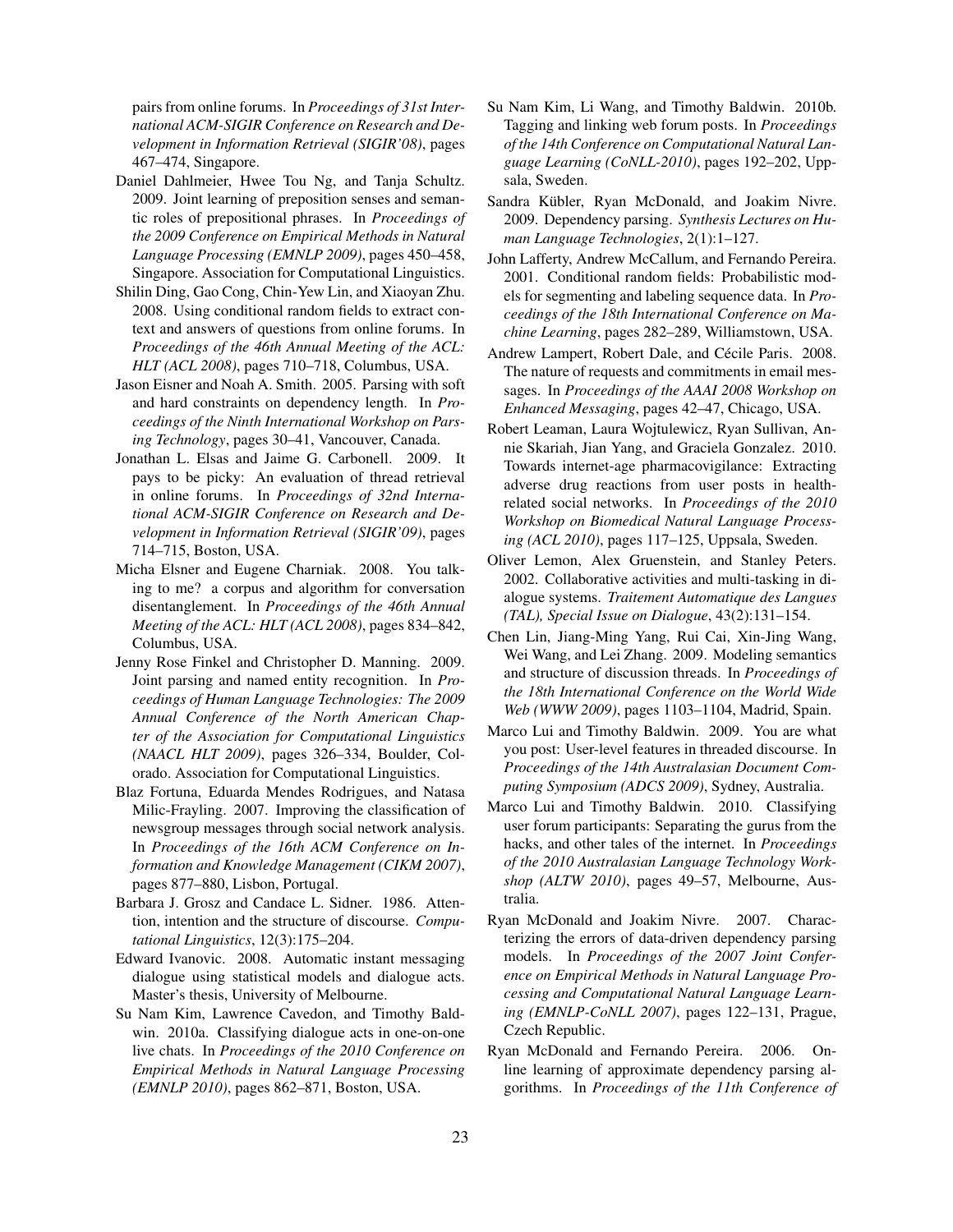pairs from online forums. In *Proceedings of 31st International ACM-SIGIR Conference on Research and Development in Information Retrieval (SIGIR'08)*, pages 467–474, Singapore.

- Daniel Dahlmeier, Hwee Tou Ng, and Tanja Schultz. 2009. Joint learning of preposition senses and semantic roles of prepositional phrases. In *Proceedings of the 2009 Conference on Empirical Methods in Natural Language Processing (EMNLP 2009)*, pages 450–458, Singapore. Association for Computational Linguistics.
- Shilin Ding, Gao Cong, Chin-Yew Lin, and Xiaoyan Zhu. 2008. Using conditional random fields to extract context and answers of questions from online forums. In *Proceedings of the 46th Annual Meeting of the ACL: HLT (ACL 2008)*, pages 710–718, Columbus, USA.
- Jason Eisner and Noah A. Smith. 2005. Parsing with soft and hard constraints on dependency length. In *Proceedings of the Ninth International Workshop on Parsing Technology*, pages 30–41, Vancouver, Canada.
- Jonathan L. Elsas and Jaime G. Carbonell. 2009. It pays to be picky: An evaluation of thread retrieval in online forums. In *Proceedings of 32nd International ACM-SIGIR Conference on Research and Development in Information Retrieval (SIGIR'09)*, pages 714–715, Boston, USA.
- Micha Elsner and Eugene Charniak. 2008. You talking to me? a corpus and algorithm for conversation disentanglement. In *Proceedings of the 46th Annual Meeting of the ACL: HLT (ACL 2008)*, pages 834–842, Columbus, USA.
- Jenny Rose Finkel and Christopher D. Manning. 2009. Joint parsing and named entity recognition. In *Proceedings of Human Language Technologies: The 2009 Annual Conference of the North American Chapter of the Association for Computational Linguistics (NAACL HLT 2009)*, pages 326–334, Boulder, Colorado. Association for Computational Linguistics.
- Blaz Fortuna, Eduarda Mendes Rodrigues, and Natasa Milic-Frayling. 2007. Improving the classification of newsgroup messages through social network analysis. In *Proceedings of the 16th ACM Conference on Information and Knowledge Management (CIKM 2007)*, pages 877–880, Lisbon, Portugal.
- Barbara J. Grosz and Candace L. Sidner. 1986. Attention, intention and the structure of discourse. *Computational Linguistics*, 12(3):175–204.
- Edward Ivanovic. 2008. Automatic instant messaging dialogue using statistical models and dialogue acts. Master's thesis, University of Melbourne.
- Su Nam Kim, Lawrence Cavedon, and Timothy Baldwin. 2010a. Classifying dialogue acts in one-on-one live chats. In *Proceedings of the 2010 Conference on Empirical Methods in Natural Language Processing (EMNLP 2010)*, pages 862–871, Boston, USA.
- Su Nam Kim, Li Wang, and Timothy Baldwin. 2010b. Tagging and linking web forum posts. In *Proceedings of the 14th Conference on Computational Natural Language Learning (CoNLL-2010)*, pages 192–202, Uppsala, Sweden.
- Sandra Kübler, Ryan McDonald, and Joakim Nivre. 2009. Dependency parsing. *Synthesis Lectures on Human Language Technologies*, 2(1):1–127.
- John Lafferty, Andrew McCallum, and Fernando Pereira. 2001. Conditional random fields: Probabilistic models for segmenting and labeling sequence data. In *Proceedings of the 18th International Conference on Machine Learning*, pages 282–289, Williamstown, USA.
- Andrew Lampert, Robert Dale, and Cécile Paris. 2008. The nature of requests and commitments in email messages. In *Proceedings of the AAAI 2008 Workshop on Enhanced Messaging*, pages 42–47, Chicago, USA.
- Robert Leaman, Laura Wojtulewicz, Ryan Sullivan, Annie Skariah, Jian Yang, and Graciela Gonzalez. 2010. Towards internet-age pharmacovigilance: Extracting adverse drug reactions from user posts in healthrelated social networks. In *Proceedings of the 2010 Workshop on Biomedical Natural Language Processing (ACL 2010)*, pages 117–125, Uppsala, Sweden.
- Oliver Lemon, Alex Gruenstein, and Stanley Peters. 2002. Collaborative activities and multi-tasking in dialogue systems. *Traitement Automatique des Langues (TAL), Special Issue on Dialogue*, 43(2):131–154.
- Chen Lin, Jiang-Ming Yang, Rui Cai, Xin-Jing Wang, Wei Wang, and Lei Zhang. 2009. Modeling semantics and structure of discussion threads. In *Proceedings of the 18th International Conference on the World Wide Web (WWW 2009)*, pages 1103–1104, Madrid, Spain.
- Marco Lui and Timothy Baldwin. 2009. You are what you post: User-level features in threaded discourse. In *Proceedings of the 14th Australasian Document Computing Symposium (ADCS 2009)*, Sydney, Australia.
- Marco Lui and Timothy Baldwin. 2010. Classifying user forum participants: Separating the gurus from the hacks, and other tales of the internet. In *Proceedings of the 2010 Australasian Language Technology Workshop (ALTW 2010)*, pages 49–57, Melbourne, Australia.
- Ryan McDonald and Joakim Nivre. 2007. Characterizing the errors of data-driven dependency parsing models. In *Proceedings of the 2007 Joint Conference on Empirical Methods in Natural Language Processing and Computational Natural Language Learning (EMNLP-CoNLL 2007)*, pages 122–131, Prague, Czech Republic.
- Ryan McDonald and Fernando Pereira. 2006. Online learning of approximate dependency parsing algorithms. In *Proceedings of the 11th Conference of*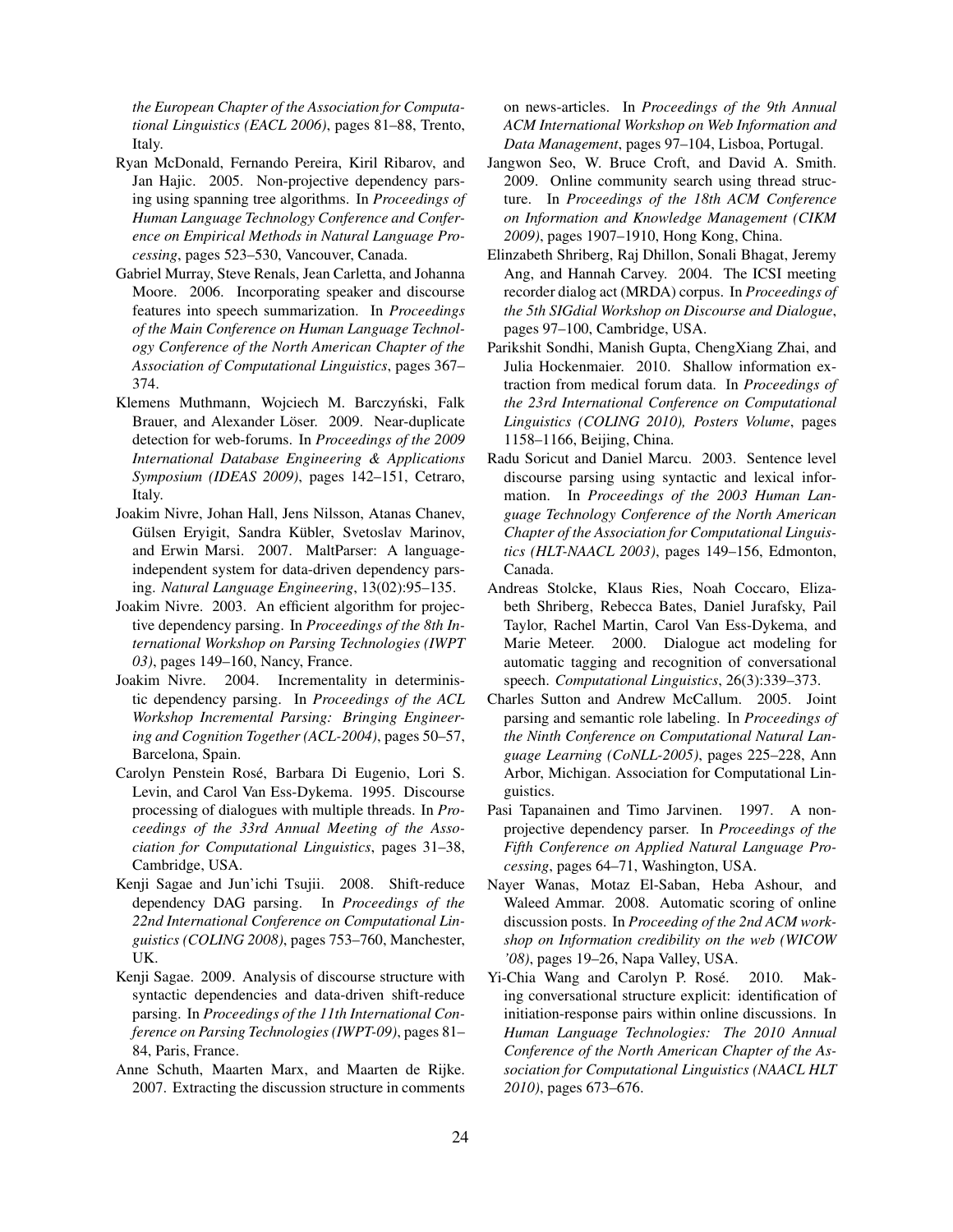*the European Chapter of the Association for Computational Linguistics (EACL 2006)*, pages 81–88, Trento, Italy.

- Ryan McDonald, Fernando Pereira, Kiril Ribarov, and Jan Hajic. 2005. Non-projective dependency parsing using spanning tree algorithms. In *Proceedings of Human Language Technology Conference and Conference on Empirical Methods in Natural Language Processing*, pages 523–530, Vancouver, Canada.
- Gabriel Murray, Steve Renals, Jean Carletta, and Johanna Moore. 2006. Incorporating speaker and discourse features into speech summarization. In *Proceedings of the Main Conference on Human Language Technology Conference of the North American Chapter of the Association of Computational Linguistics*, pages 367– 374.
- Klemens Muthmann, Wojciech M. Barczyński, Falk Brauer, and Alexander Löser. 2009. Near-duplicate detection for web-forums. In *Proceedings of the 2009 International Database Engineering & Applications Symposium (IDEAS 2009)*, pages 142–151, Cetraro, Italy.
- Joakim Nivre, Johan Hall, Jens Nilsson, Atanas Chanev, Gülsen Eryigit, Sandra Kübler, Svetoslav Marinov, and Erwin Marsi. 2007. MaltParser: A languageindependent system for data-driven dependency parsing. *Natural Language Engineering*, 13(02):95–135.
- Joakim Nivre. 2003. An efficient algorithm for projective dependency parsing. In *Proceedings of the 8th International Workshop on Parsing Technologies (IWPT 03)*, pages 149–160, Nancy, France.
- Joakim Nivre. 2004. Incrementality in deterministic dependency parsing. In *Proceedings of the ACL Workshop Incremental Parsing: Bringing Engineering and Cognition Together (ACL-2004)*, pages 50–57, Barcelona, Spain.
- Carolyn Penstein Rosé, Barbara Di Eugenio, Lori S. Levin, and Carol Van Ess-Dykema. 1995. Discourse processing of dialogues with multiple threads. In *Proceedings of the 33rd Annual Meeting of the Association for Computational Linguistics*, pages 31–38, Cambridge, USA.
- Kenji Sagae and Jun'ichi Tsujii. 2008. Shift-reduce dependency DAG parsing. In *Proceedings of the 22nd International Conference on Computational Linguistics (COLING 2008)*, pages 753–760, Manchester, UK.
- Kenji Sagae. 2009. Analysis of discourse structure with syntactic dependencies and data-driven shift-reduce parsing. In *Proceedings of the 11th International Conference on Parsing Technologies (IWPT-09)*, pages 81– 84, Paris, France.
- Anne Schuth, Maarten Marx, and Maarten de Rijke. 2007. Extracting the discussion structure in comments

on news-articles. In *Proceedings of the 9th Annual ACM International Workshop on Web Information and Data Management*, pages 97–104, Lisboa, Portugal.

- Jangwon Seo, W. Bruce Croft, and David A. Smith. 2009. Online community search using thread structure. In *Proceedings of the 18th ACM Conference on Information and Knowledge Management (CIKM 2009)*, pages 1907–1910, Hong Kong, China.
- Elinzabeth Shriberg, Raj Dhillon, Sonali Bhagat, Jeremy Ang, and Hannah Carvey. 2004. The ICSI meeting recorder dialog act (MRDA) corpus. In *Proceedings of the 5th SIGdial Workshop on Discourse and Dialogue*, pages 97–100, Cambridge, USA.
- Parikshit Sondhi, Manish Gupta, ChengXiang Zhai, and Julia Hockenmaier. 2010. Shallow information extraction from medical forum data. In *Proceedings of the 23rd International Conference on Computational Linguistics (COLING 2010), Posters Volume*, pages 1158–1166, Beijing, China.
- Radu Soricut and Daniel Marcu. 2003. Sentence level discourse parsing using syntactic and lexical information. In *Proceedings of the 2003 Human Language Technology Conference of the North American Chapter of the Association for Computational Linguistics (HLT-NAACL 2003)*, pages 149–156, Edmonton, Canada.
- Andreas Stolcke, Klaus Ries, Noah Coccaro, Elizabeth Shriberg, Rebecca Bates, Daniel Jurafsky, Pail Taylor, Rachel Martin, Carol Van Ess-Dykema, and Marie Meteer. 2000. Dialogue act modeling for automatic tagging and recognition of conversational speech. *Computational Linguistics*, 26(3):339–373.
- Charles Sutton and Andrew McCallum. 2005. Joint parsing and semantic role labeling. In *Proceedings of the Ninth Conference on Computational Natural Language Learning (CoNLL-2005)*, pages 225–228, Ann Arbor, Michigan. Association for Computational Linguistics.
- Pasi Tapanainen and Timo Jarvinen. 1997. A nonprojective dependency parser. In *Proceedings of the Fifth Conference on Applied Natural Language Processing*, pages 64–71, Washington, USA.
- Nayer Wanas, Motaz El-Saban, Heba Ashour, and Waleed Ammar. 2008. Automatic scoring of online discussion posts. In *Proceeding of the 2nd ACM workshop on Information credibility on the web (WICOW '08)*, pages 19–26, Napa Valley, USA.
- Yi-Chia Wang and Carolyn P. Rosé. 2010. Making conversational structure explicit: identification of initiation-response pairs within online discussions. In *Human Language Technologies: The 2010 Annual Conference of the North American Chapter of the Association for Computational Linguistics (NAACL HLT 2010)*, pages 673–676.